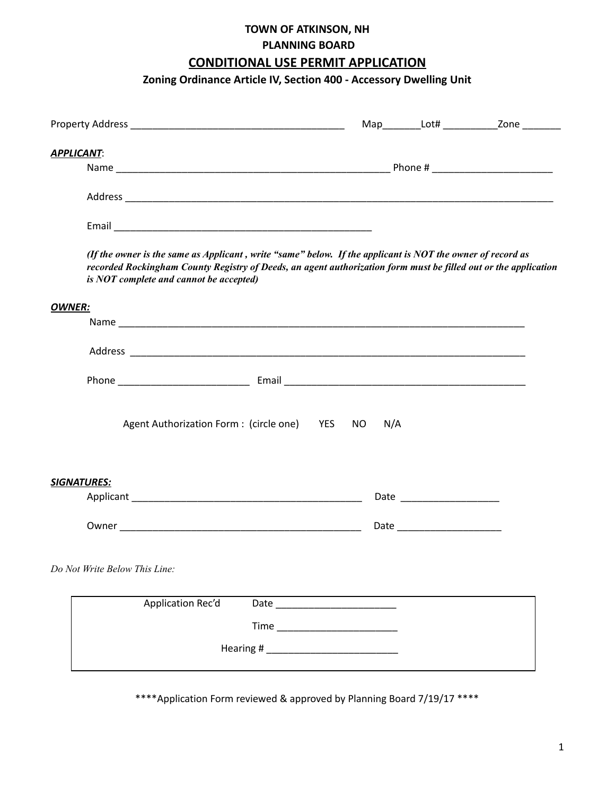# **TOWN OF ATKINSON, NH PLANNING BOARD CONDITIONAL USE PERMIT APPLICATION**

## **Zoning Ordinance Article IV, Section 400 - Accessory Dwelling Unit**

|                                                                                                                                                                                                                                                                          |                                                                                                                 |     |     |                               | Map____________Lot# ___________________Zone __________ |
|--------------------------------------------------------------------------------------------------------------------------------------------------------------------------------------------------------------------------------------------------------------------------|-----------------------------------------------------------------------------------------------------------------|-----|-----|-------------------------------|--------------------------------------------------------|
| <b>APPLICANT:</b>                                                                                                                                                                                                                                                        |                                                                                                                 |     |     |                               |                                                        |
|                                                                                                                                                                                                                                                                          |                                                                                                                 |     |     |                               |                                                        |
|                                                                                                                                                                                                                                                                          |                                                                                                                 |     |     |                               |                                                        |
|                                                                                                                                                                                                                                                                          |                                                                                                                 |     |     |                               |                                                        |
| (If the owner is the same as Applicant, write "same" below. If the applicant is NOT the owner of record as<br>recorded Rockingham County Registry of Deeds, an agent authorization form must be filled out or the application<br>is NOT complete and cannot be accepted) |                                                                                                                 |     |     |                               |                                                        |
| <b>OWNER:</b>                                                                                                                                                                                                                                                            |                                                                                                                 |     |     |                               |                                                        |
|                                                                                                                                                                                                                                                                          |                                                                                                                 |     |     |                               |                                                        |
|                                                                                                                                                                                                                                                                          |                                                                                                                 |     |     |                               |                                                        |
|                                                                                                                                                                                                                                                                          |                                                                                                                 |     |     |                               |                                                        |
| Agent Authorization Form: (circle one) YES                                                                                                                                                                                                                               |                                                                                                                 | NO. | N/A |                               |                                                        |
| <b>SIGNATURES:</b>                                                                                                                                                                                                                                                       |                                                                                                                 |     |     |                               |                                                        |
|                                                                                                                                                                                                                                                                          |                                                                                                                 |     |     |                               |                                                        |
|                                                                                                                                                                                                                                                                          |                                                                                                                 |     |     | Date ________________________ |                                                        |
| Do Not Write Below This Line:                                                                                                                                                                                                                                            |                                                                                                                 |     |     |                               |                                                        |
| Application Rec'd                                                                                                                                                                                                                                                        |                                                                                                                 |     |     |                               |                                                        |
|                                                                                                                                                                                                                                                                          |                                                                                                                 |     |     |                               |                                                        |
|                                                                                                                                                                                                                                                                          | Hearing # 1999 Manual Manual Manual Manual Manual Manual Manual Manual Manual Manual Manual Manual Manual Manua |     |     |                               |                                                        |
|                                                                                                                                                                                                                                                                          |                                                                                                                 |     |     |                               |                                                        |

\*\*\*\*Application Form reviewed & approved by Planning Board 7/19/17 \*\*\*\*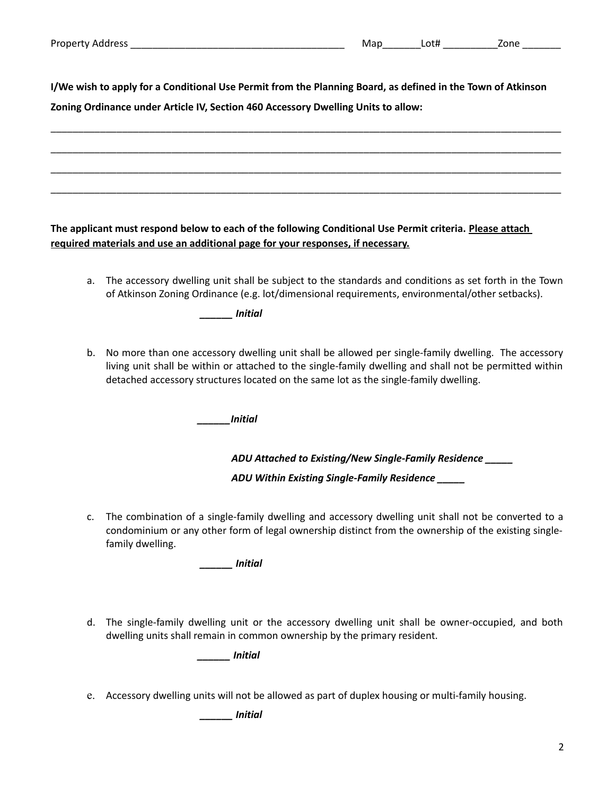**I/We wish to apply for a Conditional Use Permit from the Planning Board, as defined in the Town of Atkinson** 

\_\_\_\_\_\_\_\_\_\_\_\_\_\_\_\_\_\_\_\_\_\_\_\_\_\_\_\_\_\_\_\_\_\_\_\_\_\_\_\_\_\_\_\_\_\_\_\_\_\_\_\_\_\_\_\_\_\_\_\_\_\_\_\_\_\_\_\_\_\_\_\_\_\_\_\_\_\_\_\_\_\_\_\_\_\_\_\_\_\_\_\_\_

\_\_\_\_\_\_\_\_\_\_\_\_\_\_\_\_\_\_\_\_\_\_\_\_\_\_\_\_\_\_\_\_\_\_\_\_\_\_\_\_\_\_\_\_\_\_\_\_\_\_\_\_\_\_\_\_\_\_\_\_\_\_\_\_\_\_\_\_\_\_\_\_\_\_\_\_\_\_\_\_\_\_\_\_\_\_\_\_\_\_\_\_\_

\_\_\_\_\_\_\_\_\_\_\_\_\_\_\_\_\_\_\_\_\_\_\_\_\_\_\_\_\_\_\_\_\_\_\_\_\_\_\_\_\_\_\_\_\_\_\_\_\_\_\_\_\_\_\_\_\_\_\_\_\_\_\_\_\_\_\_\_\_\_\_\_\_\_\_\_\_\_\_\_\_\_\_\_\_\_\_\_\_\_\_\_\_

\_\_\_\_\_\_\_\_\_\_\_\_\_\_\_\_\_\_\_\_\_\_\_\_\_\_\_\_\_\_\_\_\_\_\_\_\_\_\_\_\_\_\_\_\_\_\_\_\_\_\_\_\_\_\_\_\_\_\_\_\_\_\_\_\_\_\_\_\_\_\_\_\_\_\_\_\_\_\_\_\_\_\_\_\_\_\_\_\_\_\_\_\_

**Zoning Ordinance under Article IV, Section 460 Accessory Dwelling Units to allow:**

**The applicant must respond below to each of the following Conditional Use Permit criteria. Please attach required materials and use an additional page for your responses, if necessary.**

a. The accessory dwelling unit shall be subject to the standards and conditions as set forth in the Town of Atkinson Zoning Ordinance (e.g. lot/dimensional requirements, environmental/other setbacks).

*\_\_\_\_\_\_ Initial*

b. No more than one accessory dwelling unit shall be allowed per single-family dwelling. The accessory living unit shall be within or attached to the single-family dwelling and shall not be permitted within detached accessory structures located on the same lot as the single-family dwelling.

*\_\_\_\_\_\_Initial* 

*ADU Attached to Existing/New Single-Family Residence \_\_\_\_\_* 

*ADU Within Existing Single-Family Residence \_\_\_\_\_*

c. The combination of a single-family dwelling and accessory dwelling unit shall not be converted to a condominium or any other form of legal ownership distinct from the ownership of the existing singlefamily dwelling.

*\_\_\_\_\_\_ Initial*

d. The single-family dwelling unit or the accessory dwelling unit shall be owner-occupied, and both dwelling units shall remain in common ownership by the primary resident.

*\_\_\_\_\_\_ Initial*

e. Accessory dwelling units will not be allowed as part of duplex housing or multi-family housing.

*\_\_\_\_\_\_ Initial*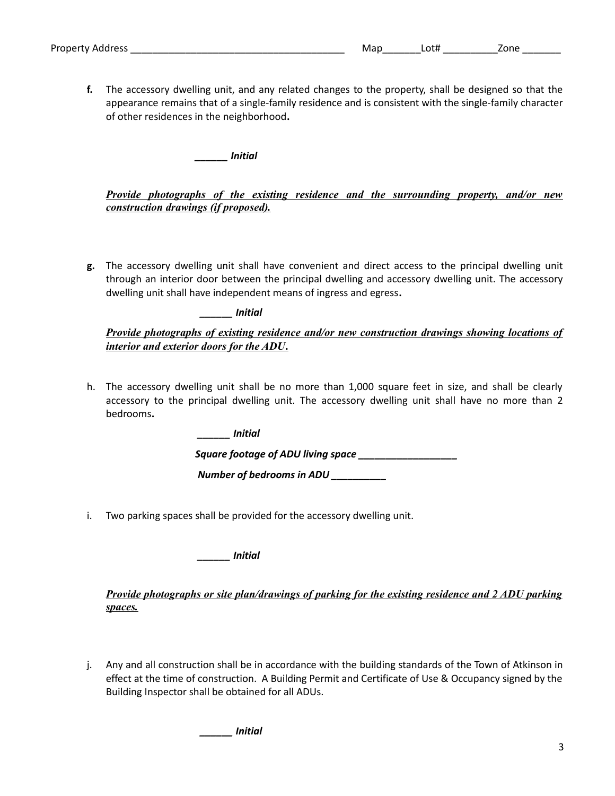| Property<br>address<br>. . | W. | $\sim$ + $\sim$ | nne |
|----------------------------|----|-----------------|-----|
|----------------------------|----|-----------------|-----|

**f.** The accessory dwelling unit, and any related changes to the property, shall be designed so that the appearance remains that of a single-family residence and is consistent with the single-family character of other residences in the neighborhood**.** 

*\_\_\_\_\_\_ Initial* 

*Provide photographs of the existing residence and the surrounding property, and/or new construction drawings (if proposed).*

**g.** The accessory dwelling unit shall have convenient and direct access to the principal dwelling unit through an interior door between the principal dwelling and accessory dwelling unit. The accessory dwelling unit shall have independent means of ingress and egress**.**

*\_\_\_\_\_\_ Initial* 

| Provide photographs of existing residence and/or new construction drawings showing locations of |  |  |  |
|-------------------------------------------------------------------------------------------------|--|--|--|
| interior and exterior doors for the ADU.                                                        |  |  |  |

h. The accessory dwelling unit shall be no more than 1,000 square feet in size, and shall be clearly accessory to the principal dwelling unit. The accessory dwelling unit shall have no more than 2 bedrooms**.** 

*\_\_\_\_\_\_ Initial* 

*Square footage of ADU living space \_\_\_\_\_\_\_\_\_\_\_\_\_\_\_\_\_\_* 

 *Number of bedrooms in ADU \_\_\_\_\_\_\_\_\_\_*

i. Two parking spaces shall be provided for the accessory dwelling unit.

*\_\_\_\_\_\_ Initial* 

### *Provide photographs or site plan/drawings of parking for the existing residence and 2 ADU parking spaces.*

j. Any and all construction shall be in accordance with the building standards of the Town of Atkinson in effect at the time of construction. A Building Permit and Certificate of Use & Occupancy signed by the Building Inspector shall be obtained for all ADUs.

*\_\_\_\_\_\_ Initial*